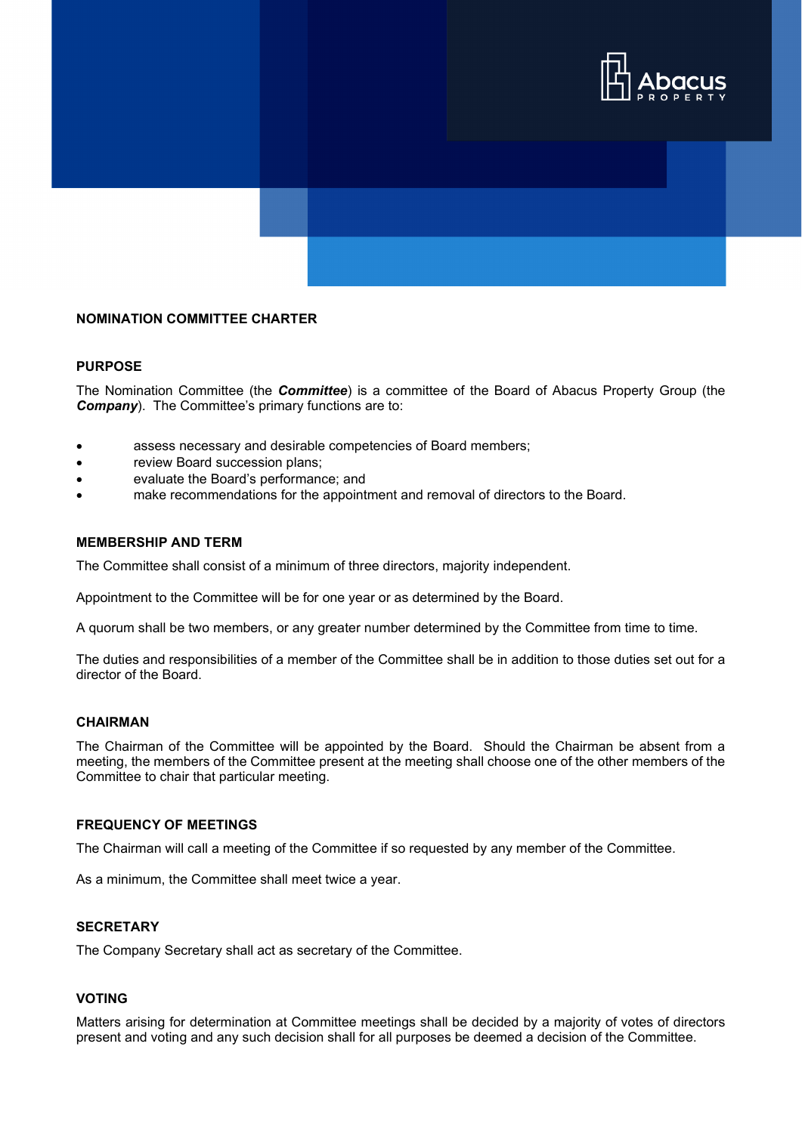

# **NOMINATION COMMITTEE CHARTER**

#### **PURPOSE**

The Nomination Committee (the *Committee*) is a committee of the Board of Abacus Property Group (the *Company*). The Committee's primary functions are to:

- assess necessary and desirable competencies of Board members;
- review Board succession plans;
- evaluate the Board's performance; and
- make recommendations for the appointment and removal of directors to the Board.

### **MEMBERSHIP AND TERM**

The Committee shall consist of a minimum of three directors, majority independent.

Appointment to the Committee will be for one year or as determined by the Board.

A quorum shall be two members, or any greater number determined by the Committee from time to time.

The duties and responsibilities of a member of the Committee shall be in addition to those duties set out for a director of the Board.

### **CHAIRMAN**

The Chairman of the Committee will be appointed by the Board. Should the Chairman be absent from a meeting, the members of the Committee present at the meeting shall choose one of the other members of the Committee to chair that particular meeting.

#### **FREQUENCY OF MEETINGS**

The Chairman will call a meeting of the Committee if so requested by any member of the Committee.

As a minimum, the Committee shall meet twice a year.

## **SECRETARY**

The Company Secretary shall act as secretary of the Committee.

# **VOTING**

Matters arising for determination at Committee meetings shall be decided by a majority of votes of directors present and voting and any such decision shall for all purposes be deemed a decision of the Committee.